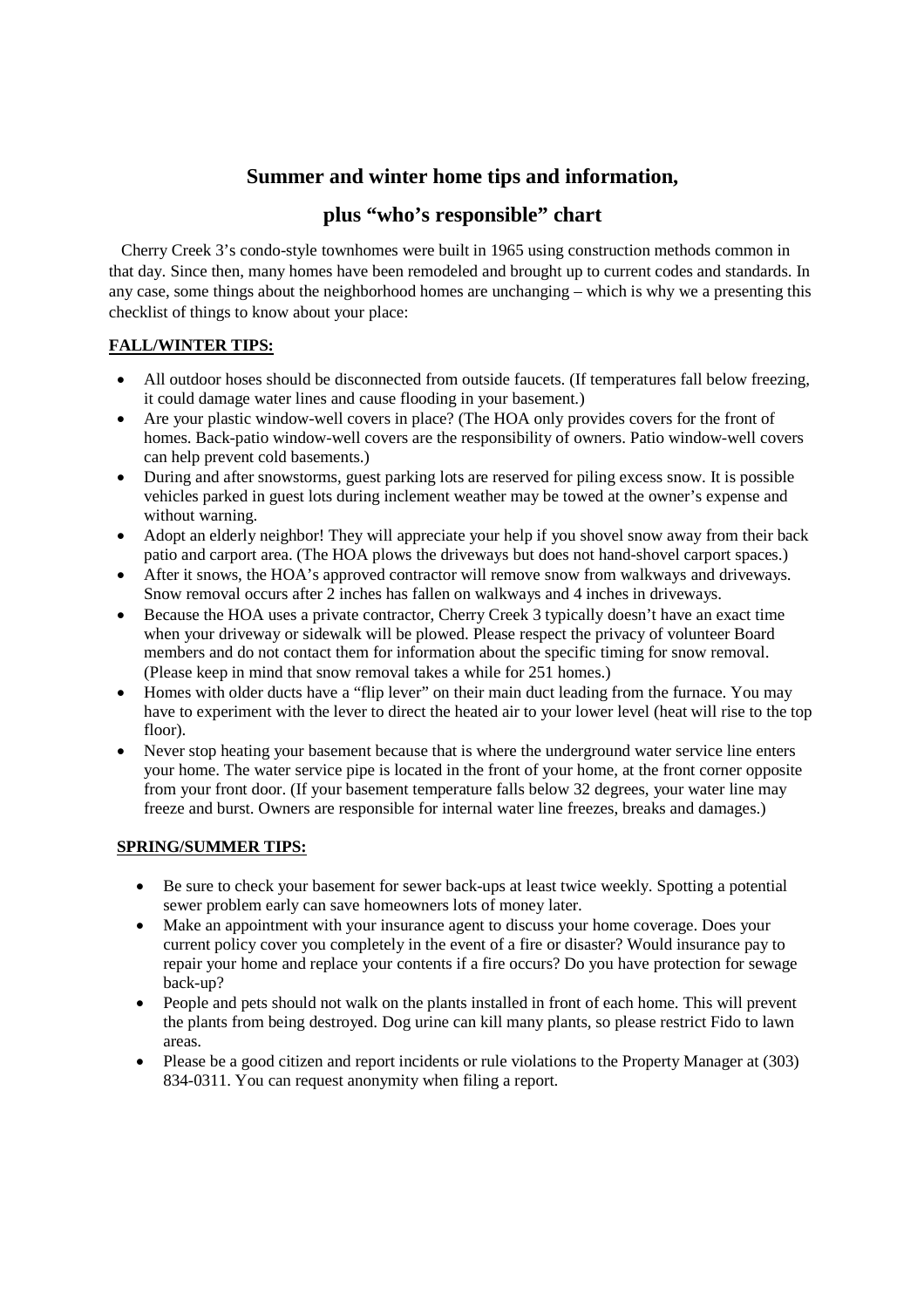## **Summer and winter home tips and information,**

### **plus "who's responsible" chart**

Cherry Creek 3's condo-style townhomes were built in 1965 using construction methods common in that day. Since then, many homes have been remodeled and brought up to current codes and standards. In any case, some things about the neighborhood homes are unchanging – which is why we a presenting this checklist of things to know about your place:

#### **FALL/WINTER TIPS:**

- All outdoor hoses should be disconnected from outside faucets. (If temperatures fall below freezing, it could damage water lines and cause flooding in your basement.)
- Are your plastic window-well covers in place? (The HOA only provides covers for the front of homes. Back-patio window-well covers are the responsibility of owners. Patio window-well covers can help prevent cold basements.)
- During and after snowstorms, guest parking lots are reserved for piling excess snow. It is possible vehicles parked in guest lots during inclement weather may be towed at the owner's expense and without warning.
- Adopt an elderly neighbor! They will appreciate your help if you shovel snow away from their back patio and carport area. (The HOA plows the driveways but does not hand-shovel carport spaces.)
- After it snows, the HOA's approved contractor will remove snow from walkways and driveways. Snow removal occurs after 2 inches has fallen on walkways and 4 inches in driveways.
- Because the HOA uses a private contractor, Cherry Creek 3 typically doesn't have an exact time when your driveway or sidewalk will be plowed. Please respect the privacy of volunteer Board members and do not contact them for information about the specific timing for snow removal. (Please keep in mind that snow removal takes a while for 251 homes.)
- Homes with older ducts have a "flip lever" on their main duct leading from the furnace. You may have to experiment with the lever to direct the heated air to your lower level (heat will rise to the top floor).
- Never stop heating your basement because that is where the underground water service line enters your home. The water service pipe is located in the front of your home, at the front corner opposite from your front door. (If your basement temperature falls below 32 degrees, your water line may freeze and burst. Owners are responsible for internal water line freezes, breaks and damages.)

#### **SPRING/SUMMER TIPS:**

- Be sure to check your basement for sewer back-ups at least twice weekly. Spotting a potential sewer problem early can save homeowners lots of money later.
- Make an appointment with your insurance agent to discuss your home coverage. Does your current policy cover you completely in the event of a fire or disaster? Would insurance pay to repair your home and replace your contents if a fire occurs? Do you have protection for sewage back-up?
- People and pets should not walk on the plants installed in front of each home. This will prevent the plants from being destroyed. Dog urine can kill many plants, so please restrict Fido to lawn areas.
- Please be a good citizen and report incidents or rule violations to the Property Manager at (303) 834-0311. You can request anonymity when filing a report.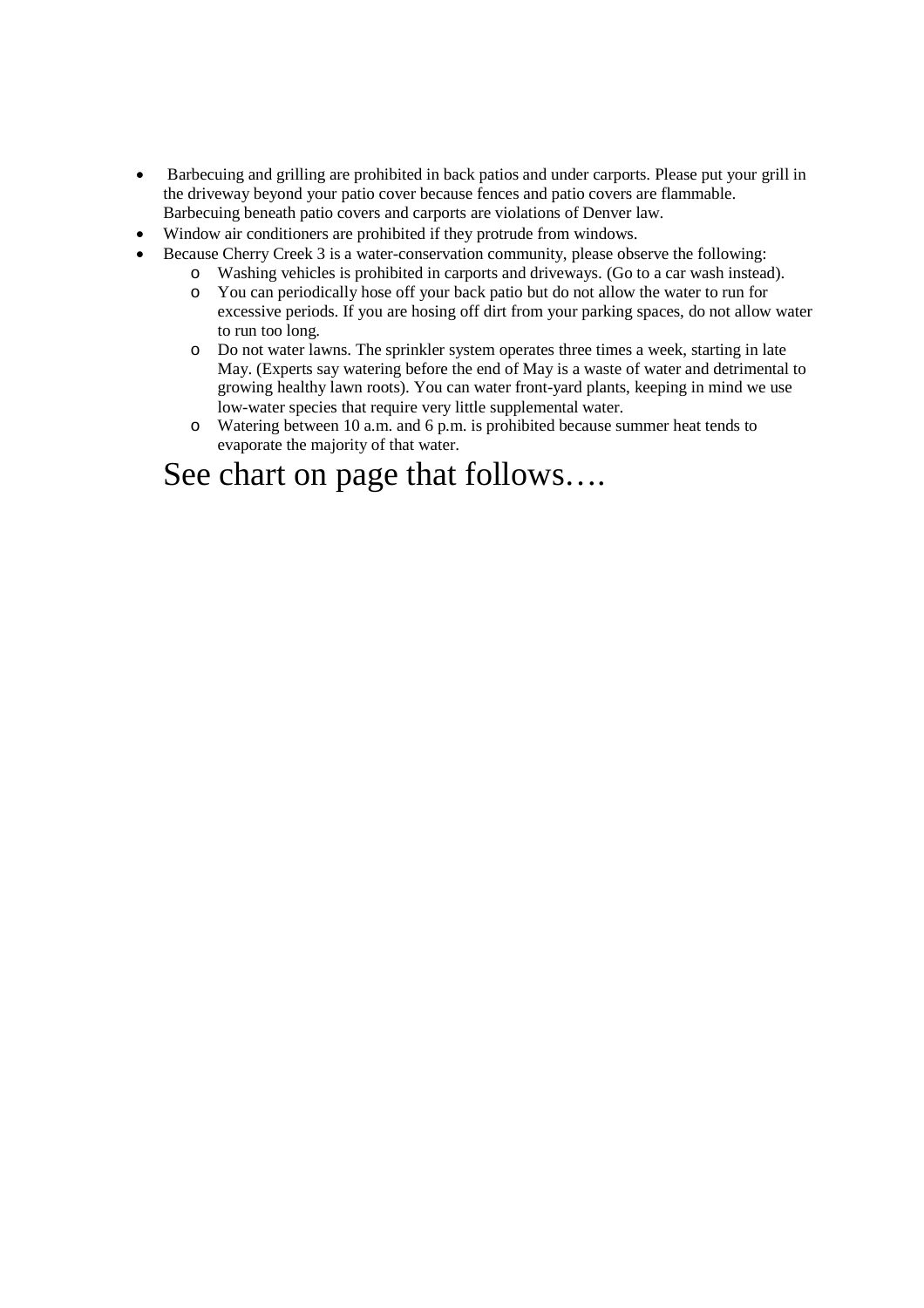- Barbecuing and grilling are prohibited in back patios and under carports. Please put your grill in the driveway beyond your patio cover because fences and patio covers are flammable. Barbecuing beneath patio covers and carports are violations of Denver law.
- Window air conditioners are prohibited if they protrude from windows.
- Because Cherry Creek 3 is a water-conservation community, please observe the following:
	- o Washing vehicles is prohibited in carports and driveways. (Go to a car wash instead).
	- o You can periodically hose off your back patio but do not allow the water to run for excessive periods. If you are hosing off dirt from your parking spaces, do not allow water to run too long.
	- o Do not water lawns. The sprinkler system operates three times a week, starting in late May. (Experts say watering before the end of May is a waste of water and detrimental to growing healthy lawn roots). You can water front-yard plants, keeping in mind we use low-water species that require very little supplemental water.
	- o Watering between 10 a.m. and 6 p.m. is prohibited because summer heat tends to evaporate the majority of that water.

# See chart on page that follows….